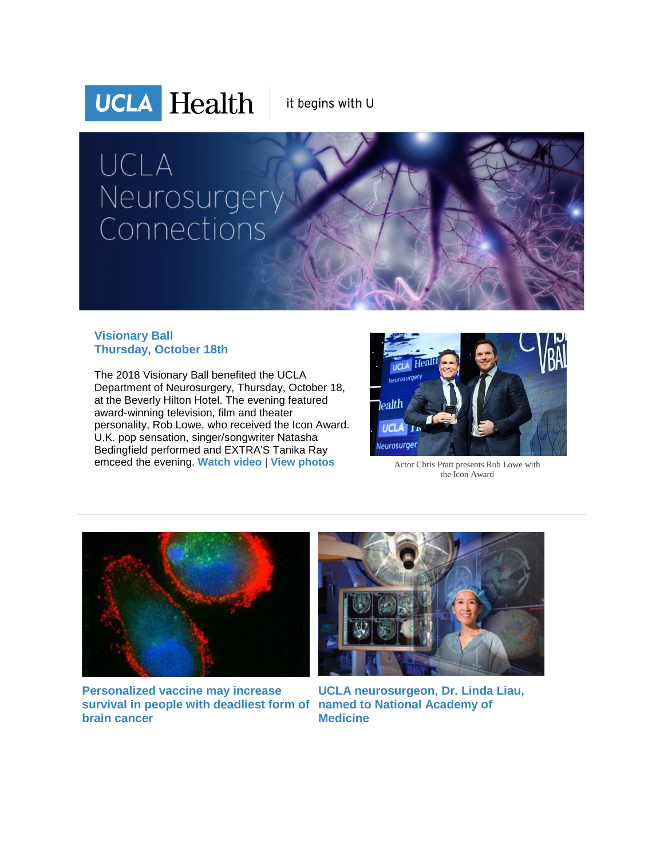

it begins with U

# UCLA Neurosurgery Connections

#### **Visionary Ball Thursday, October 18th**

The 2018 Visionary Ball benefited the UCLA Department of Neurosurgery, Thursday, October 18, at the Beverly Hilton Hotel. The evening featured award-winning television, film and theater personality, Rob Lowe, who received the Icon Award. U.K. pop sensation, singer/songwriter Natasha Bedingfield performed and EXTRA'S Tanika Ray emceed the evening. [Watch video](http://r20.rs6.net/tn.jsp?f=001HTitzKaBuRaeLB-J3Brb1sbLcSokk24L9fxqqCD6Yltxl9uEJtXfJwztEOS31wg-MDwFSMi5PpqTMfq9rto7MkjpE7VZnjnMZnZNoRYMSpkyu8rgyppuOFIAdK6KovJyNhBYuYssa_OaXFgguAr8HfEpCEHTvxnCxzIE2JO13tkhFIAIZcNxkXT1M0GW7rrmrX4My1SZJg3BYNbLdlprH51A3XXF_nYnFZLGPLG-eXQ=&c=JCFhazPvQwuxAqsFcrLTLPluG2JCeL8_0X2wikmhDRfcezPFO7kYYA==&ch=HLOjzZAnaV-YdcSiCa64qwqfkpzeg6U3WeH4XMKYzhhWcuuzUJ-cIg==) | [View photos](http://r20.rs6.net/tn.jsp?f=001HTitzKaBuRaeLB-J3Brb1sbLcSokk24L9fxqqCD6Yltxl9uEJtXfJwztEOS31wg-L1P6LijNAeHK-X-dQXcNwXFT9O--QDfItPDTOtkMVx-nCqixnmPYoVBkatJogk4DVCIYUMwtF-ZQ40M0-CBV0Kw8VRdxqKrVDwhx2ba2MlxVsWDerjV8mpJijwAtC4DBb9fMgTrVTfW8g9QgnsqcwAIhW3e4-w4N&c=JCFhazPvQwuxAqsFcrLTLPluG2JCeL8_0X2wikmhDRfcezPFO7kYYA==&ch=HLOjzZAnaV-YdcSiCa64qwqfkpzeg6U3WeH4XMKYzhhWcuuzUJ-cIg==) Actor Chris Pratt presents Rob Lowe with



the Icon Award



**[Personalized vaccine may increase](http://r20.rs6.net/tn.jsp?f=001HTitzKaBuRaeLB-J3Brb1sbLcSokk24L9fxqqCD6Yltxl9uEJtXfJwztEOS31wg-T-oApNPN-fsJTdC8fBX9DfuGw7Vswr7SnS655jso4CTyGDvLUWu3GPstdPqn4XxxBuxnlGNtL6ZO1Cjs11EbuviWj0Stt9RvKHpcx93NM9KXIniqQC_Ml-HrB8T-nBRCOI3PwjWocG2rav0kbSkcyIBRv1LxQjJR8zmaCpjRRsr9wY5MyAGHetTYDrd0r2FMuTIkKOI90aA=&c=JCFhazPvQwuxAqsFcrLTLPluG2JCeL8_0X2wikmhDRfcezPFO7kYYA==&ch=HLOjzZAnaV-YdcSiCa64qwqfkpzeg6U3WeH4XMKYzhhWcuuzUJ-cIg==)  [survival in people with deadliest form of](http://r20.rs6.net/tn.jsp?f=001HTitzKaBuRaeLB-J3Brb1sbLcSokk24L9fxqqCD6Yltxl9uEJtXfJwztEOS31wg-T-oApNPN-fsJTdC8fBX9DfuGw7Vswr7SnS655jso4CTyGDvLUWu3GPstdPqn4XxxBuxnlGNtL6ZO1Cjs11EbuviWj0Stt9RvKHpcx93NM9KXIniqQC_Ml-HrB8T-nBRCOI3PwjWocG2rav0kbSkcyIBRv1LxQjJR8zmaCpjRRsr9wY5MyAGHetTYDrd0r2FMuTIkKOI90aA=&c=JCFhazPvQwuxAqsFcrLTLPluG2JCeL8_0X2wikmhDRfcezPFO7kYYA==&ch=HLOjzZAnaV-YdcSiCa64qwqfkpzeg6U3WeH4XMKYzhhWcuuzUJ-cIg==)  named [to National Academy of](http://r20.rs6.net/tn.jsp?f=001HTitzKaBuRaeLB-J3Brb1sbLcSokk24L9fxqqCD6Yltxl9uEJtXfJwztEOS31wg-uIaUXQDvPwpK3JmI4OjT8lJ2CBlnhV8qbhIM7KpMaXm3cYE_aCKongEPLXcrwiWThKABGiWJhfzcj9JSpaTjQBoFfma-AEMY8vE1o_Jdq3XYT5e1OADp82WXcCSqN3MTMVd785dB5tgwOyml0EDTtp5s3OW_qNMKvXavpShC0fZ1xGN_4RBhm6XxNeDOrqrSwYiF4o5CbjY=&c=JCFhazPvQwuxAqsFcrLTLPluG2JCeL8_0X2wikmhDRfcezPFO7kYYA==&ch=HLOjzZAnaV-YdcSiCa64qwqfkpzeg6U3WeH4XMKYzhhWcuuzUJ-cIg==)  [brain cancer](http://r20.rs6.net/tn.jsp?f=001HTitzKaBuRaeLB-J3Brb1sbLcSokk24L9fxqqCD6Yltxl9uEJtXfJwztEOS31wg-T-oApNPN-fsJTdC8fBX9DfuGw7Vswr7SnS655jso4CTyGDvLUWu3GPstdPqn4XxxBuxnlGNtL6ZO1Cjs11EbuviWj0Stt9RvKHpcx93NM9KXIniqQC_Ml-HrB8T-nBRCOI3PwjWocG2rav0kbSkcyIBRv1LxQjJR8zmaCpjRRsr9wY5MyAGHetTYDrd0r2FMuTIkKOI90aA=&c=JCFhazPvQwuxAqsFcrLTLPluG2JCeL8_0X2wikmhDRfcezPFO7kYYA==&ch=HLOjzZAnaV-YdcSiCa64qwqfkpzeg6U3WeH4XMKYzhhWcuuzUJ-cIg==)**



**[UCLA neurosurgeon, Dr. Linda Liau,](http://r20.rs6.net/tn.jsp?f=001HTitzKaBuRaeLB-J3Brb1sbLcSokk24L9fxqqCD6Yltxl9uEJtXfJwztEOS31wg-uIaUXQDvPwpK3JmI4OjT8lJ2CBlnhV8qbhIM7KpMaXm3cYE_aCKongEPLXcrwiWThKABGiWJhfzcj9JSpaTjQBoFfma-AEMY8vE1o_Jdq3XYT5e1OADp82WXcCSqN3MTMVd785dB5tgwOyml0EDTtp5s3OW_qNMKvXavpShC0fZ1xGN_4RBhm6XxNeDOrqrSwYiF4o5CbjY=&c=JCFhazPvQwuxAqsFcrLTLPluG2JCeL8_0X2wikmhDRfcezPFO7kYYA==&ch=HLOjzZAnaV-YdcSiCa64qwqfkpzeg6U3WeH4XMKYzhhWcuuzUJ-cIg==)  [Medicine](http://r20.rs6.net/tn.jsp?f=001HTitzKaBuRaeLB-J3Brb1sbLcSokk24L9fxqqCD6Yltxl9uEJtXfJwztEOS31wg-uIaUXQDvPwpK3JmI4OjT8lJ2CBlnhV8qbhIM7KpMaXm3cYE_aCKongEPLXcrwiWThKABGiWJhfzcj9JSpaTjQBoFfma-AEMY8vE1o_Jdq3XYT5e1OADp82WXcCSqN3MTMVd785dB5tgwOyml0EDTtp5s3OW_qNMKvXavpShC0fZ1xGN_4RBhm6XxNeDOrqrSwYiF4o5CbjY=&c=JCFhazPvQwuxAqsFcrLTLPluG2JCeL8_0X2wikmhDRfcezPFO7kYYA==&ch=HLOjzZAnaV-YdcSiCa64qwqfkpzeg6U3WeH4XMKYzhhWcuuzUJ-cIg==)**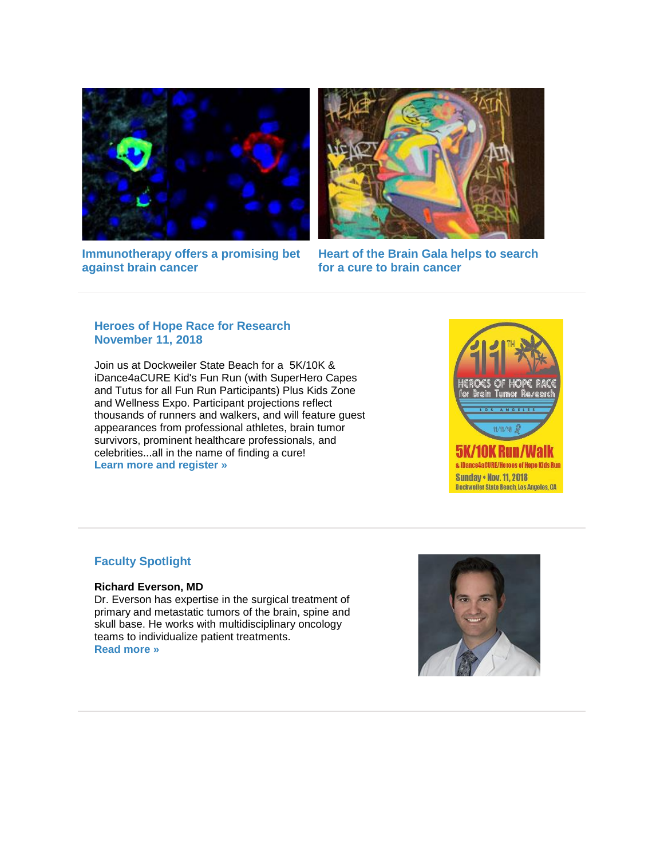



**[Immunotherapy offers a promising bet](http://r20.rs6.net/tn.jsp?f=001HTitzKaBuRaeLB-J3Brb1sbLcSokk24L9fxqqCD6Yltxl9uEJtXfJwztEOS31wg-8Ur7jN4gmtncS3KfifSCUGAofqnJ2wbNWR2zZqfXwcHHh6zmCic8akhY0Lk3jqBT6xJ0XX1We5mGHgKPg1H9MM9Ue9btcpC_46pUjnEt1lOfzoaOPsIXUOUqyT__Wu_98a3zqTou6JmBm8koax_ktw==&c=JCFhazPvQwuxAqsFcrLTLPluG2JCeL8_0X2wikmhDRfcezPFO7kYYA==&ch=HLOjzZAnaV-YdcSiCa64qwqfkpzeg6U3WeH4XMKYzhhWcuuzUJ-cIg==)  [against brain cancer](http://r20.rs6.net/tn.jsp?f=001HTitzKaBuRaeLB-J3Brb1sbLcSokk24L9fxqqCD6Yltxl9uEJtXfJwztEOS31wg-8Ur7jN4gmtncS3KfifSCUGAofqnJ2wbNWR2zZqfXwcHHh6zmCic8akhY0Lk3jqBT6xJ0XX1We5mGHgKPg1H9MM9Ue9btcpC_46pUjnEt1lOfzoaOPsIXUOUqyT__Wu_98a3zqTou6JmBm8koax_ktw==&c=JCFhazPvQwuxAqsFcrLTLPluG2JCeL8_0X2wikmhDRfcezPFO7kYYA==&ch=HLOjzZAnaV-YdcSiCa64qwqfkpzeg6U3WeH4XMKYzhhWcuuzUJ-cIg==)**

**[Heart of the Brain Gala helps to search](http://r20.rs6.net/tn.jsp?f=001HTitzKaBuRaeLB-J3Brb1sbLcSokk24L9fxqqCD6Yltxl9uEJtXfJwztEOS31wg-IhB3ljHC6GuEELr7KiWokz2NaKu7GgS58YqIIosP6rKzeoXuvQIHbsGGZHhgmVzWIyXw899uGwROnThtLhdjHvQIjJOkRmbcqr5nx1VRin94CLmNyMJ7DberZdQ8PjeaQ6MdqJfqzsJ1UNFhQiaU5ZnDqq7W5csI&c=JCFhazPvQwuxAqsFcrLTLPluG2JCeL8_0X2wikmhDRfcezPFO7kYYA==&ch=HLOjzZAnaV-YdcSiCa64qwqfkpzeg6U3WeH4XMKYzhhWcuuzUJ-cIg==)  [for a cure to brain cancer](http://r20.rs6.net/tn.jsp?f=001HTitzKaBuRaeLB-J3Brb1sbLcSokk24L9fxqqCD6Yltxl9uEJtXfJwztEOS31wg-IhB3ljHC6GuEELr7KiWokz2NaKu7GgS58YqIIosP6rKzeoXuvQIHbsGGZHhgmVzWIyXw899uGwROnThtLhdjHvQIjJOkRmbcqr5nx1VRin94CLmNyMJ7DberZdQ8PjeaQ6MdqJfqzsJ1UNFhQiaU5ZnDqq7W5csI&c=JCFhazPvQwuxAqsFcrLTLPluG2JCeL8_0X2wikmhDRfcezPFO7kYYA==&ch=HLOjzZAnaV-YdcSiCa64qwqfkpzeg6U3WeH4XMKYzhhWcuuzUJ-cIg==)**

#### **Heroes of Hope Race for Research November 11, 2018**

Join us at Dockweiler State Beach for a 5K/10K & iDance4aCURE Kid's Fun Run (with SuperHero Capes and Tutus for all Fun Run Participants) Plus Kids Zone and Wellness Expo. Participant projections reflect thousands of runners and walkers, and will feature guest appearances from professional athletes, brain tumor survivors, prominent healthcare professionals, and celebrities...all in the name of finding a cure! **[Learn more and register »](http://r20.rs6.net/tn.jsp?f=001HTitzKaBuRaeLB-J3Brb1sbLcSokk24L9fxqqCD6Yltxl9uEJtXfJwztEOS31wg-V4dOPmRKuP5hh4Bnu1jTib2P_2_6fwDmOSbykCidbge9yNkcS03NeGXyq-BhB-VWlTYQSQ8HZXoercU1K0eJk6Uw9r6OXMNlW_YRXd2fjjp8KYfBBwGS8sV4xc85DgssMpzp-MtgrVlLesTeV5ENwhS5qjwtPaC9PALhbtHyf_E=&c=JCFhazPvQwuxAqsFcrLTLPluG2JCeL8_0X2wikmhDRfcezPFO7kYYA==&ch=HLOjzZAnaV-YdcSiCa64qwqfkpzeg6U3WeH4XMKYzhhWcuuzUJ-cIg==)**



### **Faculty Spotlight**

#### **Richard Everson, MD**

Dr. Everson has expertise in the surgical treatment of primary and metastatic tumors of the brain, spine and skull base. He works with multidisciplinary oncology teams to individualize patient treatments. **[Read more »](http://r20.rs6.net/tn.jsp?f=001HTitzKaBuRaeLB-J3Brb1sbLcSokk24L9fxqqCD6Yltxl9uEJtXfJwztEOS31wg-2saCLuUpOix2D35KUhKghTqetbo8gvoNCbZ8HhO_QUT6maL2rYQuXRNl90wStPO1bey7GI0DBoA53px8MmWGwL_vQYPKD3dcUNglEsi1ynib3xT6pV_frtKPzk2lTPeudblUYfYSJhQ=&c=JCFhazPvQwuxAqsFcrLTLPluG2JCeL8_0X2wikmhDRfcezPFO7kYYA==&ch=HLOjzZAnaV-YdcSiCa64qwqfkpzeg6U3WeH4XMKYzhhWcuuzUJ-cIg==)**

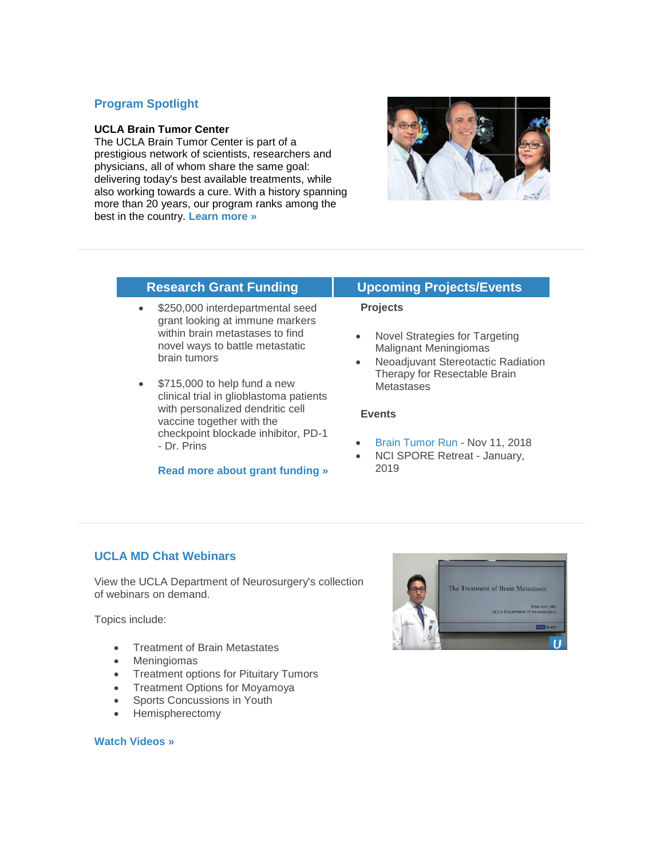#### **Program Spotlight**

#### **UCLA Brain Tumor Center**

The UCLA Brain Tumor Center is part of a prestigious network of scientists, researchers and physicians, all of whom share the same goal: delivering today's best available treatments, while also working towards a cure. With a history spanning more than 20 years, our program ranks among the best in the country. **[Learn more »](http://r20.rs6.net/tn.jsp?f=001HTitzKaBuRaeLB-J3Brb1sbLcSokk24L9fxqqCD6Yltxl9uEJtXfJwztEOS31wg-X651WLauiY9tl1W5nNVk7-ao1t99fC7pPvhqjzi0CiqFr2D9tuUTec5DqJ5yZzU6F7M-RfooFZpgZIguI5NsBCjDu0XqRKogf5mzAaALEzNX1df3mpcci7H-K8-Mpw2RV8lmnU-6dnWRPWkPuWYPuw==&c=JCFhazPvQwuxAqsFcrLTLPluG2JCeL8_0X2wikmhDRfcezPFO7kYYA==&ch=HLOjzZAnaV-YdcSiCa64qwqfkpzeg6U3WeH4XMKYzhhWcuuzUJ-cIg==)**



- \$250,000 interdepartmental seed grant looking at immune markers within brain metastases to find novel ways to battle metastatic brain tumors
- \$715,000 to help fund a new clinical trial in glioblastoma patients with personalized dendritic cell vaccine together with the checkpoint blockade inhibitor, PD-1 - Dr. Prins

#### **[Read more about grant funding »](http://r20.rs6.net/tn.jsp?f=001HTitzKaBuRaeLB-J3Brb1sbLcSokk24L9fxqqCD6Yltxl9uEJtXfJwztEOS31wg-L66ZhiRME5Zo3VChg8W1MBM9KFuQtL4vtE6AuWoA_ymIdtjhLxUoA-x3iigtzLRGWxUTS8aVl-WfwlIG5y31SNymtSx9ErwNTkF1X53-Kh5OtsXXipZSo548iUYHC7VonZkfQpAOoRZKlzwQn_z79A==&c=JCFhazPvQwuxAqsFcrLTLPluG2JCeL8_0X2wikmhDRfcezPFO7kYYA==&ch=HLOjzZAnaV-YdcSiCa64qwqfkpzeg6U3WeH4XMKYzhhWcuuzUJ-cIg==)**

#### **Research Grant Funding Upcoming Projects/Events**

#### **Projects**

- Novel Strategies for Targeting Malignant Meningiomas
- Neoadjuvant Stereotactic Radiation Therapy for Resectable Brain **Metastases**

#### **Events**

- [Brain Tumor Run](http://r20.rs6.net/tn.jsp?f=001HTitzKaBuRaeLB-J3Brb1sbLcSokk24L9fxqqCD6Yltxl9uEJtXfJwztEOS31wg-V4dOPmRKuP5hh4Bnu1jTib2P_2_6fwDmOSbykCidbge9yNkcS03NeGXyq-BhB-VWlTYQSQ8HZXoercU1K0eJk6Uw9r6OXMNlW_YRXd2fjjp8KYfBBwGS8sV4xc85DgssMpzp-MtgrVlLesTeV5ENwhS5qjwtPaC9PALhbtHyf_E=&c=JCFhazPvQwuxAqsFcrLTLPluG2JCeL8_0X2wikmhDRfcezPFO7kYYA==&ch=HLOjzZAnaV-YdcSiCa64qwqfkpzeg6U3WeH4XMKYzhhWcuuzUJ-cIg==) Nov 11, 2018
- NCI SPORE Retreat January, 2019

### **UCLA MD Chat Webinars**

View the UCLA Department of Neurosurgery's collection of webinars on demand.

Topics include:

- Treatment of Brain Metastates
- Meningiomas
- Treatment options for Pituitary Tumors
- Treatment Options for Moyamoya
- Sports Concussions in Youth
- Hemispherectomy

#### **[Watch Videos »](http://r20.rs6.net/tn.jsp?f=001HTitzKaBuRaeLB-J3Brb1sbLcSokk24L9fxqqCD6Yltxl9uEJtXfJ3MfmXhJzCcuGAT27HgS4_mkNwq8ExDRG0unvnZdZyE61XTwBNaRlH64P-iFt0wgaUpLNkxdJXTB_IW8Q1JufG8Qlc4DRjsDnkol78M5jI5Zepd2SCithKA63W5cBTkX0nwEHRvoxPvI&c=JCFhazPvQwuxAqsFcrLTLPluG2JCeL8_0X2wikmhDRfcezPFO7kYYA==&ch=HLOjzZAnaV-YdcSiCa64qwqfkpzeg6U3WeH4XMKYzhhWcuuzUJ-cIg==)**